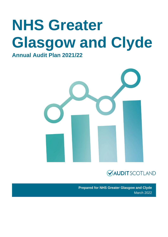# **NHS Greater Glasgow and Clyde Annual Audit Plan 2021/22**





**Prepared for NHS Greater Glasgow and Clyde**  March 2022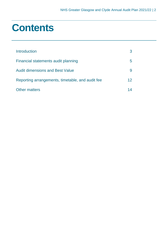## **Contents**

| Introduction                                     |    |
|--------------------------------------------------|----|
| Financial statements audit planning              | b  |
| <b>Audit dimensions and Best Value</b>           |    |
| Reporting arrangements, timetable, and audit fee | 12 |
| <b>Other matters</b>                             |    |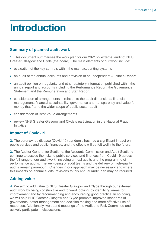## <span id="page-2-0"></span>**Introduction**

### **Summary of planned audit work**

**1.** This document summarises the work plan for our 2021/22 external audit of NHS Greater Glasgow and Clyde (the board). The main elements of our work include:

- evaluation of the key controls within the main accounting systems
- an audit of the annual accounts and provision of an Independent Auditor's Report
- an audit opinion on regularity and other statutory information published within the annual report and accounts including the Performance Report, the Governance Statement and the Remuneration and Staff Report
- consideration of arrangements in relation to the audit dimensions: financial management, financial sustainability, governance and transparency and value for money that frame the wider scope of public sector audit
- consideration of Best Value arrangements
- review NHS Greater Glasgow and Clyde's participation in the National Fraud Initiative.

## **Impact of Covid-19**

**2.** The coronavirus disease (Covid-19) pandemic has had a significant impact on public services and public finances, and the effects will be felt well into the future.

**3.** The Auditor General for Scotland, the Accounts Commission and Audit Scotland continue to assess the risks to public services and finances from Covid-19 across the full range of our audit work, including annual audits and the programme of performance audits. The well-being of audit teams and the delivery of high-quality audits remain paramount. Changes in our approach may be necessary and where this impacts on annual audits, revisions to this Annual Audit Plan may be required.

## **Adding value**

**4.** We aim to add value to NHS Greater Glasgow and Clyde through our external audit work by being constructive and forward looking, by identifying areas for improvement and by recommending and encouraging good practice. In so doing, we will help NHS Greater Glasgow and Clyde promote improved standards of governance, better management and decision making and more effective use of resources. Additionally, we attend meetings of the Audit and Risk Committee and actively participate in discussions.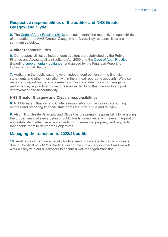### **Respective responsibilities of the auditor and NHS Greater Glasgow and Clyde**

**5.** The [Code of Audit Practice \(2016\)](https://www.audit-scotland.gov.uk/uploads/docs/report/2016/code_audit_practice_16_0.pdf) sets out in detail the respective responsibilities of the auditor and NHS Greater Glasgow and Clyde. Key responsibilities are summarised below.

#### **Auditor responsibilities**

**6.** Our responsibilities as independent auditors are established by the Public Finance and Accountability (Scotland) Act 2000 and the [Code of Audit Practice](https://www.audit-scotland.gov.uk/uploads/docs/report/2016/code_audit_practice_16_0.pdf) (including [supplementary guidance\)](https://www.audit-scotland.gov.uk/uploads/docs/um/code_audit_guidance_16_supp.pdf) and guided by the Financial Reporting Council's Ethical Standard.

**7.** Auditors in the public sector give an independent opinion on the financial statements and other information within the annual report and accounts. We also review and report on the arrangements within the audited body to manage its performance, regularity and use of resources. In doing this, we aim to support improvement and accountability.

#### **NHS Greater Glasgow and Clyde's responsibilities**

**8.** NHS Greater Glasgow and Clyde is responsible for maintaining accounting records and preparing financial statements that give a true and fair view.

**9.** Also, NHS Greater Glasgow and Clyde has the primary responsibility for ensuring the proper financial stewardship of public funds, compliance with relevant legislation and establishing effective arrangements for governance, propriety and regularity that enable them to deliver their objectives.

### **Managing the transition to 2022/23 audits**

**10.** Audit appointments are usually for five years but were extended to six years due to Covid-19. 2021/22 is the final year of the current appointment and we will work closely with our successors to ensure a well-managed transition.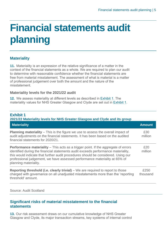## <span id="page-4-0"></span>**Financial statements audit planning**

## **Materiality**

**11.** Materiality is an expression of the relative significance of a matter in the context of the financial statements as a whole. We are required to plan our audit to determine with reasonable confidence whether the financial statements are free from material misstatement. The assessment of what is material is a matter of professional judgement over both the amount and the nature of the misstatement.

#### **Materiality levels for the 2021/22 audit**

**12.** We assess materiality at different levels as described in [Exhibit 1.](#page-4-1) The materiality values for NHS Greater Glasgow and Clyde are set out in [Exhibit 1.](#page-4-1)

#### <span id="page-4-1"></span>**Exhibit 1 2021/22 Materiality levels for NHS Greater Glasgow and Clyde and its group**

| <b>Materiality</b>                                                                                                                                                                                                                                                                                                                                                         | <b>Amount</b>    |
|----------------------------------------------------------------------------------------------------------------------------------------------------------------------------------------------------------------------------------------------------------------------------------------------------------------------------------------------------------------------------|------------------|
| <b>Planning materiality</b> – This is the figure we use to assess the overall impact of<br>audit adjustments on the financial statements. It has been based on the audited<br>financial statements for 2020/21.                                                                                                                                                            | £30<br>million   |
| <b>Performance materiality</b> – This acts as a trigger point. If the aggregate of errors<br>identified during the financial statements audit exceeds performance materiality,<br>this would indicate that further audit procedures should be considered. Using our<br>professional judgement, we have assessed performance materiality at 65% of<br>planning materiality. | £20<br>million   |
| <b>Reporting threshold (i.e. clearly trivial)</b> – We are required to report to those<br>charged with governance on all unadjusted misstatements more than the 'reporting<br>threshold' amount.                                                                                                                                                                           | £250<br>thousand |

Source: Audit Scotland

### **Significant risks of material misstatement to the financial statements**

**13.** Our risk assessment draws on our cumulative knowledge of NHS Greater Glasgow and Clyde, its major transaction streams, key systems of internal control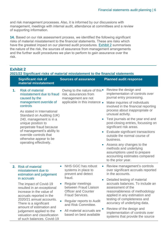and risk management processes. Also, it is informed by our discussions with management, meetings with internal audit, attendance at committees and a review of supporting information.

**14.** Based on our risk assessment process, we identified the following significant risks of material misstatement to the financial statements. These are risks which have the greatest impact on our planned audit procedures. [Exhibit 2](#page-5-0) summarises the nature of the risk, the sources of assurance from management arrangements and the further audit procedures we plan to perform to gain assurance over the risk.

### <span id="page-5-0"></span>**Exhibit 2**

**2021/22 Significant risks of material misstatement to the financial statements** 

|    | <b>Significant risk of</b><br>material misstatement                                                                                                                                                                                                                                                                                                                                   | <b>Sources of assurance</b>                                                                                                                                                                                                                                                                                         | <b>Planned audit response</b>                                                                                                                                                                                                                                                                                                                                                                                                                                                                                                                             |
|----|---------------------------------------------------------------------------------------------------------------------------------------------------------------------------------------------------------------------------------------------------------------------------------------------------------------------------------------------------------------------------------------|---------------------------------------------------------------------------------------------------------------------------------------------------------------------------------------------------------------------------------------------------------------------------------------------------------------------|-----------------------------------------------------------------------------------------------------------------------------------------------------------------------------------------------------------------------------------------------------------------------------------------------------------------------------------------------------------------------------------------------------------------------------------------------------------------------------------------------------------------------------------------------------------|
| 1. | <b>Risk of material</b><br>misstatement due to fraud<br>caused by the<br>management override of<br>controls<br>As stated in International<br>Standard on Auditing (UK)<br>240, management is in a<br>unique position to<br>perpetrate fraud because<br>of management's ability to<br>override controls that<br>otherwise appear to be<br>operating effectively.                       | Owing to the nature of this •<br>risk, assurances from<br>management are not<br>applicable in this instance .<br>$\bullet$                                                                                                                                                                                          | Review the design and<br>implementation of controls over<br>journal entry processing.<br>Make inquiries of individuals<br>involved in the financial reporting<br>process about inappropriate or<br>unusual activity.<br>Test journals at the year end and<br>post-closing entries, focussing on<br>significant risk areas.<br>Evaluate significant transactions<br>outside the normal course of<br>business.<br>Assess any changes to the<br>methods and underlying<br>assumptions used to prepare<br>accounting estimates compared<br>to the prior year. |
| 2. | <b>Risk of material</b><br>misstatement due to<br>estimation and judgement<br>in accruals<br>The impact of Covid-19<br>resulted in an exceptional<br>increase in the value of<br>accruals reported in the<br>2020/21 annual accounts.<br>There is a significant<br>amount of estimation and<br>judgement applied to the<br>valuation and classification<br>of such balances. Covid-19 | NHS GGC has robust<br>$\bullet$<br>$\bullet$<br>systems in place to<br>prevent and detect<br>fraud.<br><b>Regular meetings</b><br>between Fraud Liaison<br><b>Officer and Counter</b><br>Fraud Services.<br>Regular reports to Audit<br>and Risk Committee.<br>All material accruals are<br>based on best available | Review management's controls<br>over significant accruals reported<br>in the accounts.<br>Detailed testing of material<br>accruals balances. To include an<br>assessment of the<br>reasonableness of methodology<br>applied in any estimation and<br>testing of completeness and<br>accuracy of underlying data.<br>Review of the design and<br>implementation of controls over<br>systems that provide the source                                                                                                                                        |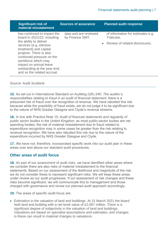| <b>Significant risk of</b><br>material misstatement                                                                                                                                                                                                 | <b>Sources of assurance</b>              | <b>Planned audit response</b>                  |
|-----------------------------------------------------------------------------------------------------------------------------------------------------------------------------------------------------------------------------------------------------|------------------------------------------|------------------------------------------------|
| has continued to impact the<br>board in 2021/22, including                                                                                                                                                                                          | data and are reviewed<br>by Finance SMT. | of information for estimates e.g.<br>Trakcare. |
| the ability to deliver<br>services (e.g. elective<br>treatment) and capital<br>projects. There is also<br>continued pressure on the<br>workforce which may<br>impact on annual leave<br>outstanding at the year end,<br>and so the related accrual. |                                          | • Review of related disclosures.               |

#### Source: Audit Scotland

**15.** As set out in International Standard on Auditing (UK) 240*: The auditor's responsibilities relating to fraud in an audit of financial statement*, there is a presumed risk of fraud over the recognition of revenue. We have rebutted this risk because while the possibility of fraud exists, we do not judge it to be significant due to the nature of NHS Greater Glasgow and Clyde's revenue streams.

**16.** In line with Practice Note 10: *Audit of financial statements and regularity of public sector bodies in the United Kingdom*, as most public-sector bodies are net spending bodies, the risk of material misstatement due to fraud related to expenditure recognition may in some cases be greater than the risk relating to revenue recognition. We have also rebutted this risk due to the nature of the expenditure incurred by NHS Greater Glasgow and Clyde.

**17.** We have not, therefore, incorporated specific work into our audit plan in these areas over and above our standard audit procedures.

#### **Other areas of audit focus**

**18.** As part of our assessment of audit risks, we have identified other areas where we consider there are also risks of material misstatement to the financial statements. Based on our assessment of the likelihood and magnitude of the risk, we do not consider these to represent significant risks. We will keep these areas under review as our audit progresses. If our assessment of risk changes and these risks become significant, we will communicate this to management and those charged with governance and revise our planned audit approach accordingly.

**19.** The areas of specific audit focus are:

• Estimation in the valuation of land and buildings: At 31 March 2021 the board held land and building with a net book value of £2,087 million. There is a significant degree of subjectivity in the valuation of land and buildings. Valuations are based on specialist assumptions and estimates, and changes in these can result in material changes to valuations.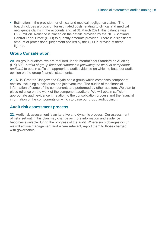• Estimation in the provision for clinical and medical negligence claims: The board includes a provision for estimated costs relating to clinical and medical negligence claims in the accounts and, at 31 March 2021, this balance was £165 million. Reliance is placed on the details provided by the NHS Scotland Central Legal Office (CLO) to quantify amounts provided. There is a significant amount of professional judgement applied by the CLO in arriving at these figures.

#### **Group Consideration**

**20.** As group auditors, we are required under International Standard on Auditing (UK) 600: *Audits of group financial statements (including the work of component auditors)* to obtain sufficient appropriate audit evidence on which to base our audit opinion on the group financial statements.

**21.** NHS Greater Glasgow and Clyde has a group which comprises component entities, including subsidiaries and joint ventures. The audits of the financial information of some of the components are performed by other auditors. We plan to place reliance on the work of the component auditors. We will obtain sufficient appropriate audit evidence in relation to the consolidation process and the financial information of the components on which to base our group audit opinion.

#### **Audit risk assessment process**

**22.** Audit risk assessment is an iterative and dynamic process. Our assessment of risks set out in this plan may change as more information and evidence becomes available during the progress of the audit. Where such changes occur, we will advise management and where relevant, report them to those charged with governance.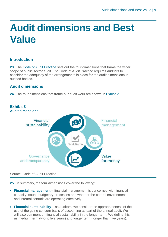## <span id="page-8-0"></span>**Audit dimensions and Best Value**

### **Introduction**

**23.** The [Code of Audit Practice](https://www.audit-scotland.gov.uk/uploads/docs/report/2016/code_audit_practice_16_0.pdf) sets out the four dimensions that frame the wider scope of public sector audit. The Code of Audit Practice requires auditors to consider the adequacy of the arrangements in place for the audit dimensions in audited bodies.

## **Audit dimensions**

**24.** The four dimensions that frame our audit work are shown in [Exhibit 3.](#page-8-1)

<span id="page-8-1"></span>

#### Source: Code of Audit Practice

**25.** In summary, the four dimensions cover the following:

- **Financial management** financial management is concerned with financial capacity, sound budgetary processes and whether the control environment and internal controls are operating effectively.
- **Financial sustainability** as auditors, we consider the appropriateness of the use of the going concern basis of accounting as part of the annual audit. We will also comment on financial sustainability in the longer term. We define this as medium term (two to five years) and longer term (longer than five years).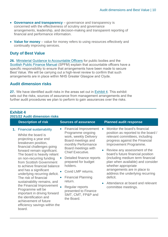- **Governance and transparency** governance and transparency is concerned with the effectiveness of scrutiny and governance arrangements, leadership, and decision-making and transparent reporting of financial and performance information.
- **Value for money** value for money refers to using resources effectively and continually improving services.

### **Duty of Best Value**

**26.** [Ministerial Guidance to Accountable Officers](https://www.gov.scot/publications/best-value-public-services-guidance-accountable-officers/) for public bodies and the [Scottish Public Finance Manual](https://www.gov.scot/publications/scottish-public-finance-manual/background-and-applicability/background-and-applicability/) (SPFM) explain that accountable officers have a specific responsibility to ensure that arrangements have been made to secure Best Value. We will be carrying out a high-level review to confirm that such arrangements are in place within NHS Greater Glasgow and Clyde.

### **Audit dimension risks**

<span id="page-9-0"></span>**Exhibit 4**

**27.** We have identified audit risks in the areas set out in [Exhibit 4.](#page-9-0) This exhibit sets out the risks, sources of assurance from management arrangements and the further audit procedures we plan to perform to gain assurances over the risks.

| 2021/22 Audit dimension risks |                                                                                                                                                                                                                                                                                                                                                                                                                                                                                                                                                                                           |                                                                                                                                                                                                                                                                                                                                                                                                                              |                                     |                                                                                                                                                                                                                                                                                                                                                                                                                                                                                    |
|-------------------------------|-------------------------------------------------------------------------------------------------------------------------------------------------------------------------------------------------------------------------------------------------------------------------------------------------------------------------------------------------------------------------------------------------------------------------------------------------------------------------------------------------------------------------------------------------------------------------------------------|------------------------------------------------------------------------------------------------------------------------------------------------------------------------------------------------------------------------------------------------------------------------------------------------------------------------------------------------------------------------------------------------------------------------------|-------------------------------------|------------------------------------------------------------------------------------------------------------------------------------------------------------------------------------------------------------------------------------------------------------------------------------------------------------------------------------------------------------------------------------------------------------------------------------------------------------------------------------|
|                               | <b>Description of risk</b>                                                                                                                                                                                                                                                                                                                                                                                                                                                                                                                                                                | <b>Sources of assurance</b>                                                                                                                                                                                                                                                                                                                                                                                                  |                                     | <b>Planned audit response</b>                                                                                                                                                                                                                                                                                                                                                                                                                                                      |
|                               | 1. Financial sustainability<br>Whilst the board is<br>projecting a year end<br>breakeven position,<br>financial challenges going<br>forward remain significant.<br>The board is heavily reliant<br>on non-recurring funding<br>from Scottish Government<br>to achieve financial balance<br>and has a significant<br>underlying recurring deficit.<br>The risk of financial<br>sustainability remains, and<br>the Financial Improvement<br>Programme will be<br>important in driving forward<br>the identification and<br>achievement of future<br>efficiency savings within the<br>board. | <b>Financial Improvement</b><br>$\bullet$<br>Programme ongoing<br>work, weekly Delivery<br>Board meetings and<br>monthly Performance<br>Board meetings with<br><b>Chief Executive.</b><br>Detailed finance reports<br>prepared for budget<br>holders.<br>Covid LMP returns.<br>$\bullet$<br><b>Financial Planning</b><br>$\bullet$<br>return.<br>Regular reports<br>presented to Finance<br>SMT, CMT, FP&P and<br>the Board. | $\bullet$<br>$\bullet$<br>$\bullet$ | Monitor the board's financial<br>position as reported to the board /<br>relevant committees, including<br>progress against the Financial<br>Improvement Programme.<br>Review any assessment of the<br>board's future financial position<br>(including medium term financial<br>plan when available) and consider<br>whether appropriate<br>arrangements are in place to<br>address the underlying recurring<br>deficit.<br>Attendance at board and relevant<br>committee meetings. |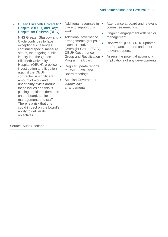| 2. Queen Elizabeth University .<br><b>Hospital (QEUH) and Royal</b><br><b>Hospital for Children (RHC)</b>                                                                                                                                                                                                                                                                                                                                                                                                                                                                                          | Additional resources in<br>place to support this<br>work.<br>$\bullet$                                                                                                                                                                                                                                 | Attendance at board and relevant<br>committee meetings.<br>Ongoing engagement with senior                                                                                 |
|----------------------------------------------------------------------------------------------------------------------------------------------------------------------------------------------------------------------------------------------------------------------------------------------------------------------------------------------------------------------------------------------------------------------------------------------------------------------------------------------------------------------------------------------------------------------------------------------------|--------------------------------------------------------------------------------------------------------------------------------------------------------------------------------------------------------------------------------------------------------------------------------------------------------|---------------------------------------------------------------------------------------------------------------------------------------------------------------------------|
| NHS Greater Glasgow and •<br>Clyde continues to face<br>exceptional challenges;<br>continued special measure<br>status, the ongoing public<br>inquiry into the Queen<br><b>Elizabeth University</b><br>Hospital (QEUH), a police<br>investigation and litigation<br>against the QEUH<br>contractor. A significant<br>amount of work and<br>$\bullet$<br>uncertainty exists around<br>these issues and this is<br>placing additional demands<br>on the board, senior<br>management, and staff.<br>There is a risk that this<br>could impact on the board's<br>ability to deliver its<br>objectives. | Additional governance<br>arrangements/groups in<br>place Executive<br>Oversight Group (EOG),<br><b>QEUH Governance</b><br>Group and Rectification •<br>Programme Board.<br>Regular update reports<br>to CMT, FP&P and<br>Board meetings.<br><b>Scottish Government</b><br>supervisory<br>arrangements. | management.<br>Review of QEUH / RHC updates,<br>performance reports and other<br>relevant papers.<br>Assess the potential accounting<br>implications of any developments. |
|                                                                                                                                                                                                                                                                                                                                                                                                                                                                                                                                                                                                    |                                                                                                                                                                                                                                                                                                        |                                                                                                                                                                           |

Source: Audit Scotland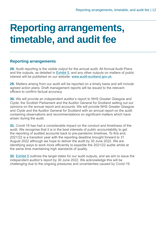## <span id="page-11-0"></span>**Reporting arrangements, timetable, and audit fee**

### **Reporting arrangements**

**28.** Audit reporting is the visible output for the annual audit. All Annual Audit Plans and the outputs, as detailed in [Exhibit 5,](#page-12-0) and any other outputs on matters of public interest will be published on our website: [www.audit-scotland.gov.uk.](http://www.audit-scotland.gov.uk./)

**29.** Matters arising from our audit will be reported on a timely basis and will include agreed action plans. Draft management reports will be issued to the relevant officers to confirm factual accuracy.

**30.** We will provide an independent auditor's report to NHS Greater Glasgow and Clyde, the Scottish Parliament and the Auditor General for Scotland setting out our opinions on the annual report and accounts. We will provide NHS Greater Glasgow and Clyde and the Auditor General for Scotland with an annual report on the audit containing observations and recommendations on significant matters which have arisen during the audit.

**31.** Covid-19 has had a considerable impact on the conduct and timeliness of the audit. We recognise that it is in the best interests of public accountability to get the reporting of audited accounts back to pre-pandemic timelines. To this end, 2021/22 is a transition year with the reporting deadline brought forward to 31 August 2022 although we hope to deliver the audit by 30 June 2022. We are identifying ways to work more efficiently to expedite the 2021/22 audits whilst at the same time maintaining high standards of quality.

**32.** [Exhibit 5](#page-12-0) outlines the target dates for our audit outputs, and we aim to issue the independent auditor's report by 30 June 2022. We acknowledge this will be challenging due to the ongoing pressures and uncertainties caused by Covid-19.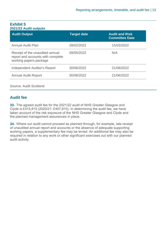#### <span id="page-12-0"></span>**Exhibit 5 2021/22 Audit outputs**

| <b>Target date</b> | <b>Audit and Risk</b><br><b>Committee Date</b> |
|--------------------|------------------------------------------------|
| 28/02/2022         | 15/03/2022                                     |
| 09/05/2022         | N/A                                            |
| 30/06/2022         | 21/06/2022                                     |
| 30/06/2022         | 21/06/2022                                     |
|                    |                                                |

#### Source: Audit Scotland

## **Audit fee**

**33.** The agreed audit fee for the 2021/22 audit of NHS Greater Glasgow and Clyde is £415,810 (2020/21: £407,810). In determining the audit fee, we have taken account of the risk exposure of the NHS Greater Glasgow and Clyde and the planned management assurances in place.

**34.** Where our audit cannot proceed as planned through, for example, late receipt of unaudited annual report and accounts or the absence of adequate supporting working papers, a supplementary fee may be levied. An additional fee may also be required in relation to any work or other significant exercises out with our planned audit activity.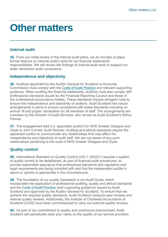## <span id="page-13-0"></span>**Other matters**

## **Internal audit**

**35.** From our initial review of the internal audit plans, we do not plan to place formal reliance on internal audit's work for our financial statements' responsibilities. We will review the findings of internal audit work to support our wider dimension audit conclusions.

### **Independence and objectivity**

**36.** Auditors appointed by the Auditor General for Scotland or Accounts Commission must comply with the [Code of Audit Practice](https://www.audit-scotland.gov.uk/uploads/docs/report/2016/code_audit_practice_16_0.pdf) and relevant supporting guidance. When auditing the financial statements, auditors must also comply with professional standards issued by the Financial Reporting Council and those of the professional accountancy bodies. These standards impose stringent rules to ensure the independence and objectivity of auditors. Audit Scotland has robust arrangements in place to ensure compliance with these standards including an annual *'fit and proper*' declaration for all members of staff. The arrangements are overseen by the Director of Audit Services, who serves as Audit Scotland's Ethics **Partner** 

**37.** The engagement lead (i.e. appointed auditor) for NHS Greater Glasgow and Clyde is John Cornett, Audit Director. Auditing and ethical standards require the appointed auditor to communicate any relationships that may affect the independence and objectivity of audit staff. We are not aware of any such relationships pertaining to the audit of NHS Greater Glasgow and Clyde.

## **Quality control**

**38.** International Standard on Quality Control (UK) 1 (ISQC1) requires a system of quality control to be established, as part of financial audit procedures, to provide reasonable assurance that professional standards and regulatory and legal requirements are being complied with and that the independent auditor's report or opinion is appropriate in the circumstances.

**39.** The foundation of our quality framework is our Audit Guide, which incorporates the application of professional auditing, quality and ethical standards and the [Code of Audit Practice](https://www.audit-scotland.gov.uk/uploads/docs/report/2016/code_audit_practice_16_0.pdf) (and supporting guidance) issued by Audit Scotland and approved by the Auditor General for Scotland. To ensure that we achieve the required quality standards, Audit Scotland conducts peer reviews and internal quality reviews. Additionally, the Institute of Chartered Accountants of Scotland (ICAS) have been commissioned to carry out external quality reviews.

**40.** As part of our commitment to quality and continuous improvement, Audit Scotland will periodically seek your views on the quality of our service provision.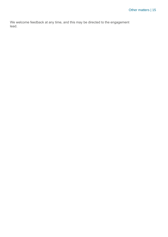We welcome feedback at any time, and this may be directed to the engagement lead.